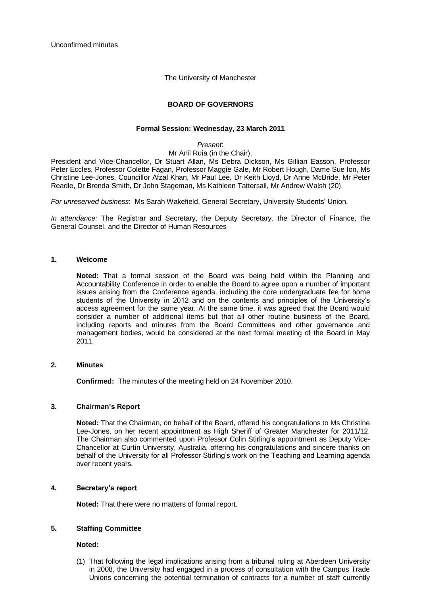Unconfirmed minutes

The University of Manchester

# **BOARD OF GOVERNORS**

### **Formal Session: Wednesday, 23 March 2011**

*Present*:

Mr Anil Ruia (in the Chair),

President and Vice-Chancellor, Dr Stuart Allan, Ms Debra Dickson, Ms Gillian Easson, Professor Peter Eccles, Professor Colette Fagan, Professor Maggie Gale, Mr Robert Hough, Dame Sue Ion, Ms Christine Lee-Jones, Councillor Afzal Khan, Mr Paul Lee, Dr Keith Lloyd, Dr Anne McBride, Mr Peter Readle, Dr Brenda Smith, Dr John Stageman, Ms Kathleen Tattersall, Mr Andrew Walsh (20)

*For unreserved business*: Ms Sarah Wakefield, General Secretary, University Students" Union.

*In attendance:* The Registrar and Secretary, the Deputy Secretary, the Director of Finance, the General Counsel, and the Director of Human Resources

### **1. Welcome**

**Noted:** That a formal session of the Board was being held within the Planning and Accountability Conference in order to enable the Board to agree upon a number of important issues arising from the Conference agenda, including the core undergraduate fee for home students of the University in 2012 and on the contents and principles of the University"s access agreement for the same year. At the same time, it was agreed that the Board would consider a number of additional items but that all other routine business of the Board, including reports and minutes from the Board Committees and other governance and management bodies, would be considered at the next formal meeting of the Board in May 2011.

### **2. Minutes**

**Confirmed:** The minutes of the meeting held on 24 November 2010.

### **3. Chairman's Report**

**Noted:** That the Chairman, on behalf of the Board, offered his congratulations to Ms Christine Lee-Jones, on her recent appointment as High Sheriff of Greater Manchester for 2011/12. The Chairman also commented upon Professor Colin Stirling"s appointment as Deputy Vice-Chancellor at Curtin University, Australia, offering his congratulations and sincere thanks on behalf of the University for all Professor Stirling"s work on the Teaching and Learning agenda over recent years.

### **4. Secretary's report**

**Noted:** That there were no matters of formal report.

### **5. Staffing Committee**

**Noted:**

(1) That following the legal implications arising from a tribunal ruling at Aberdeen University in 2008, the University had engaged in a process of consultation with the Campus Trade Unions concerning the potential termination of contracts for a number of staff currently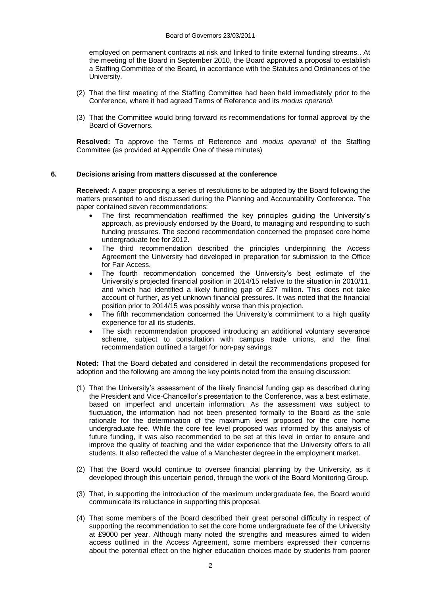employed on permanent contracts at risk and linked to finite external funding streams.. At the meeting of the Board in September 2010, the Board approved a proposal to establish a Staffing Committee of the Board, in accordance with the Statutes and Ordinances of the University.

- (2) That the first meeting of the Staffing Committee had been held immediately prior to the Conference, where it had agreed Terms of Reference and its *modus operandi*.
- (3) That the Committee would bring forward its recommendations for formal approval by the Board of Governors.

**Resolved:** To approve the Terms of Reference and *modus operandi* of the Staffing Committee (as provided at Appendix One of these minutes)

## **6. Decisions arising from matters discussed at the conference**

**Received:** A paper proposing a series of resolutions to be adopted by the Board following the matters presented to and discussed during the Planning and Accountability Conference. The paper contained seven recommendations:

- The first recommendation reaffirmed the key principles guiding the University"s approach, as previously endorsed by the Board, to managing and responding to such funding pressures. The second recommendation concerned the proposed core home undergraduate fee for 2012.
- The third recommendation described the principles underpinning the Access Agreement the University had developed in preparation for submission to the Office for Fair Access.
- The fourth recommendation concerned the University's best estimate of the University"s projected financial position in 2014/15 relative to the situation in 2010/11, and which had identified a likely funding gap of £27 million. This does not take account of further, as yet unknown financial pressures. It was noted that the financial position prior to 2014/15 was possibly worse than this projection.
- The fifth recommendation concerned the University's commitment to a high quality experience for all its students.
- The sixth recommendation proposed introducing an additional voluntary severance scheme, subject to consultation with campus trade unions, and the final recommendation outlined a target for non-pay savings.

**Noted:** That the Board debated and considered in detail the recommendations proposed for adoption and the following are among the key points noted from the ensuing discussion:

- (1) That the University"s assessment of the likely financial funding gap as described during the President and Vice-Chancellor"s presentation to the Conference, was a best estimate, based on imperfect and uncertain information. As the assessment was subject to fluctuation, the information had not been presented formally to the Board as the sole rationale for the determination of the maximum level proposed for the core home undergraduate fee. While the core fee level proposed was informed by this analysis of future funding, it was also recommended to be set at this level in order to ensure and improve the quality of teaching and the wider experience that the University offers to all students. It also reflected the value of a Manchester degree in the employment market.
- (2) That the Board would continue to oversee financial planning by the University, as it developed through this uncertain period, through the work of the Board Monitoring Group.
- (3) That, in supporting the introduction of the maximum undergraduate fee, the Board would communicate its reluctance in supporting this proposal.
- (4) That some members of the Board described their great personal difficulty in respect of supporting the recommendation to set the core home undergraduate fee of the University at £9000 per year. Although many noted the strengths and measures aimed to widen access outlined in the Access Agreement, some members expressed their concerns about the potential effect on the higher education choices made by students from poorer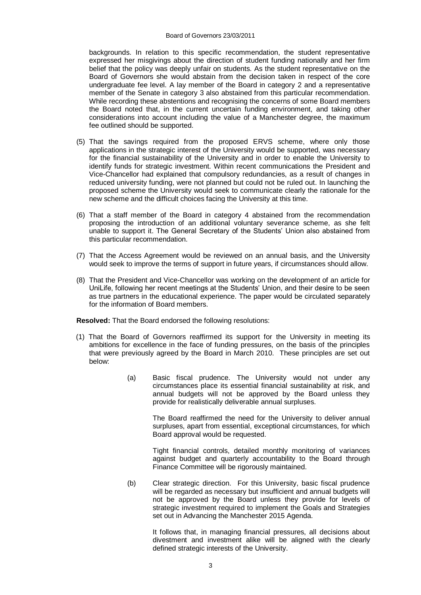#### Board of Governors 23/03/2011

backgrounds. In relation to this specific recommendation, the student representative expressed her misgivings about the direction of student funding nationally and her firm belief that the policy was deeply unfair on students. As the student representative on the Board of Governors she would abstain from the decision taken in respect of the core undergraduate fee level. A lay member of the Board in category 2 and a representative member of the Senate in category 3 also abstained from this particular recommendation. While recording these abstentions and recognising the concerns of some Board members the Board noted that, in the current uncertain funding environment, and taking other considerations into account including the value of a Manchester degree, the maximum fee outlined should be supported.

- (5) That the savings required from the proposed ERVS scheme, where only those applications in the strategic interest of the University would be supported, was necessary for the financial sustainability of the University and in order to enable the University to identify funds for strategic investment. Within recent communications the President and Vice-Chancellor had explained that compulsory redundancies, as a result of changes in reduced university funding, were not planned but could not be ruled out. In launching the proposed scheme the University would seek to communicate clearly the rationale for the new scheme and the difficult choices facing the University at this time.
- (6) That a staff member of the Board in category 4 abstained from the recommendation proposing the introduction of an additional voluntary severance scheme, as she felt unable to support it. The General Secretary of the Students' Union also abstained from this particular recommendation.
- (7) That the Access Agreement would be reviewed on an annual basis, and the University would seek to improve the terms of support in future years, if circumstances should allow.
- (8) That the President and Vice-Chancellor was working on the development of an article for UniLife, following her recent meetings at the Students" Union, and their desire to be seen as true partners in the educational experience. The paper would be circulated separately for the information of Board members.

**Resolved:** That the Board endorsed the following resolutions:

- (1) That the Board of Governors reaffirmed its support for the University in meeting its ambitions for excellence in the face of funding pressures, on the basis of the principles that were previously agreed by the Board in March 2010. These principles are set out below:
	- (a) Basic fiscal prudence. The University would not under any circumstances place its essential financial sustainability at risk, and annual budgets will not be approved by the Board unless they provide for realistically deliverable annual surpluses.

The Board reaffirmed the need for the University to deliver annual surpluses, apart from essential, exceptional circumstances, for which Board approval would be requested.

Tight financial controls, detailed monthly monitoring of variances against budget and quarterly accountability to the Board through Finance Committee will be rigorously maintained.

(b) Clear strategic direction. For this University, basic fiscal prudence will be regarded as necessary but insufficient and annual budgets will not be approved by the Board unless they provide for levels of strategic investment required to implement the Goals and Strategies set out in Advancing the Manchester 2015 Agenda.

> It follows that, in managing financial pressures, all decisions about divestment and investment alike will be aligned with the clearly defined strategic interests of the University.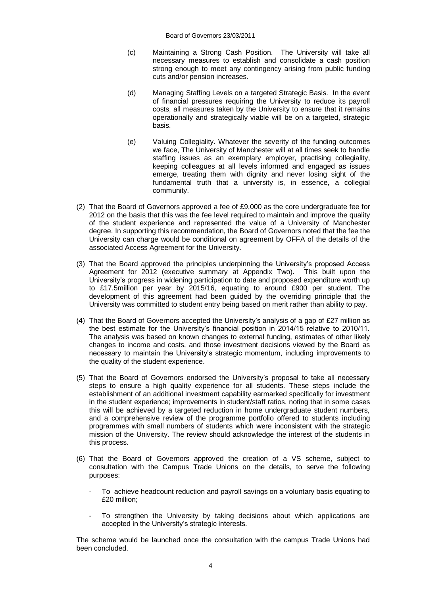Board of Governors 23/03/2011

- (c) Maintaining a Strong Cash Position. The University will take all necessary measures to establish and consolidate a cash position strong enough to meet any contingency arising from public funding cuts and/or pension increases.
- (d) Managing Staffing Levels on a targeted Strategic Basis. In the event of financial pressures requiring the University to reduce its payroll costs, all measures taken by the University to ensure that it remains operationally and strategically viable will be on a targeted, strategic basis.
- (e) Valuing Collegiality. Whatever the severity of the funding outcomes we face, The University of Manchester will at all times seek to handle staffing issues as an exemplary employer, practising collegiality, keeping colleagues at all levels informed and engaged as issues emerge, treating them with dignity and never losing sight of the fundamental truth that a university is, in essence, a collegial community.
- (2) That the Board of Governors approved a fee of £9,000 as the core undergraduate fee for 2012 on the basis that this was the fee level required to maintain and improve the quality of the student experience and represented the value of a University of Manchester degree. In supporting this recommendation, the Board of Governors noted that the fee the University can charge would be conditional on agreement by OFFA of the details of the associated Access Agreement for the University.
- (3) That the Board approved the principles underpinning the University"s proposed Access Agreement for 2012 (executive summary at Appendix Two). This built upon the University"s progress in widening participation to date and proposed expenditure worth up to £17.5million per year by 2015/16, equating to around £900 per student. The development of this agreement had been guided by the overriding principle that the University was committed to student entry being based on merit rather than ability to pay.
- (4) That the Board of Governors accepted the University"s analysis of a gap of £27 million as the best estimate for the University's financial position in 2014/15 relative to 2010/11. The analysis was based on known changes to external funding, estimates of other likely changes to income and costs, and those investment decisions viewed by the Board as necessary to maintain the University"s strategic momentum, including improvements to the quality of the student experience.
- (5) That the Board of Governors endorsed the University"s proposal to take all necessary steps to ensure a high quality experience for all students. These steps include the establishment of an additional investment capability earmarked specifically for investment in the student experience; improvements in student/staff ratios, noting that in some cases this will be achieved by a targeted reduction in home undergraduate student numbers, and a comprehensive review of the programme portfolio offered to students including programmes with small numbers of students which were inconsistent with the strategic mission of the University. The review should acknowledge the interest of the students in this process.
- (6) That the Board of Governors approved the creation of a VS scheme, subject to consultation with the Campus Trade Unions on the details, to serve the following purposes:
	- To achieve headcount reduction and payroll savings on a voluntary basis equating to £20 million;
	- To strengthen the University by taking decisions about which applications are accepted in the University"s strategic interests.

The scheme would be launched once the consultation with the campus Trade Unions had been concluded.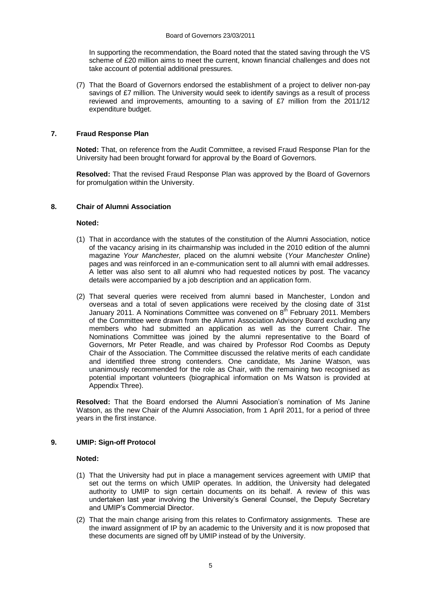In supporting the recommendation, the Board noted that the stated saving through the VS scheme of £20 million aims to meet the current, known financial challenges and does not take account of potential additional pressures.

(7) That the Board of Governors endorsed the establishment of a project to deliver non-pay savings of £7 million. The University would seek to identify savings as a result of process reviewed and improvements, amounting to a saving of £7 million from the 2011/12 expenditure budget.

# **7. Fraud Response Plan**

**Noted:** That, on reference from the Audit Committee, a revised Fraud Response Plan for the University had been brought forward for approval by the Board of Governors.

**Resolved:** That the revised Fraud Response Plan was approved by the Board of Governors for promulgation within the University.

### **8. Chair of Alumni Association**

### **Noted:**

- (1) That in accordance with the statutes of the constitution of the Alumni Association, notice of the vacancy arising in its chairmanship was included in the 2010 edition of the alumni magazine *Your Manchester,* placed on the alumni website (*Your Manchester Online*) pages and was reinforced in an e-communication sent to all alumni with email addresses. A letter was also sent to all alumni who had requested notices by post. The vacancy details were accompanied by a job description and an application form.
- (2) That several queries were received from alumni based in Manchester, London and overseas and a total of seven applications were received by the closing date of 31st January 2011. A Nominations Committee was convened on 8<sup>th</sup> February 2011. Members of the Committee were drawn from the Alumni Association Advisory Board excluding any members who had submitted an application as well as the current Chair. The Nominations Committee was joined by the alumni representative to the Board of Governors, Mr Peter Readle, and was chaired by Professor Rod Coombs as Deputy Chair of the Association. The Committee discussed the relative merits of each candidate and identified three strong contenders. One candidate, Ms Janine Watson, was unanimously recommended for the role as Chair, with the remaining two recognised as potential important volunteers (biographical information on Ms Watson is provided at Appendix Three).

**Resolved:** That the Board endorsed the Alumni Association"s nomination of Ms Janine Watson, as the new Chair of the Alumni Association, from 1 April 2011, for a period of three years in the first instance.

### **9. UMIP: Sign-off Protocol**

### **Noted:**

- (1) That the University had put in place a management services agreement with UMIP that set out the terms on which UMIP operates. In addition, the University had delegated authority to UMIP to sign certain documents on its behalf. A review of this was undertaken last year involving the University"s General Counsel, the Deputy Secretary and UMIP"s Commercial Director.
- (2) That the main change arising from this relates to Confirmatory assignments. These are the inward assignment of IP by an academic to the University and it is now proposed that these documents are signed off by UMIP instead of by the University.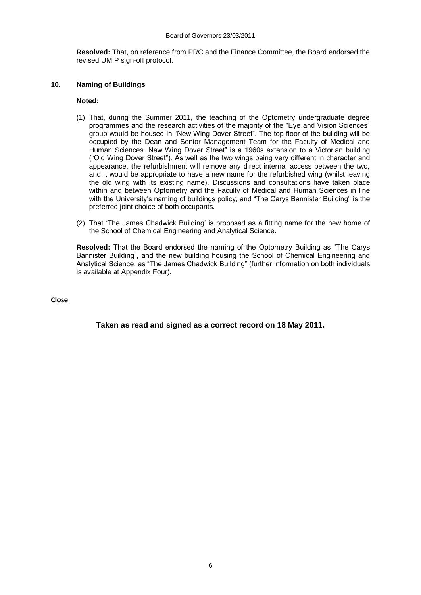**Resolved:** That, on reference from PRC and the Finance Committee, the Board endorsed the revised UMIP sign-off protocol.

# **10. Naming of Buildings**

### **Noted:**

- (1) That, during the Summer 2011, the teaching of the Optometry undergraduate degree programmes and the research activities of the majority of the "Eye and Vision Sciences" group would be housed in "New Wing Dover Street". The top floor of the building will be occupied by the Dean and Senior Management Team for the Faculty of Medical and Human Sciences. New Wing Dover Street" is a 1960s extension to a Victorian building ("Old Wing Dover Street"). As well as the two wings being very different in character and appearance, the refurbishment will remove any direct internal access between the two, and it would be appropriate to have a new name for the refurbished wing (whilst leaving the old wing with its existing name). Discussions and consultations have taken place within and between Optometry and the Faculty of Medical and Human Sciences in line with the University"s naming of buildings policy, and "The Carys Bannister Building" is the preferred joint choice of both occupants.
- (2) That "The James Chadwick Building" is proposed as a fitting name for the new home of the School of Chemical Engineering and Analytical Science.

**Resolved:** That the Board endorsed the naming of the Optometry Building as "The Carys Bannister Building", and the new building housing the School of Chemical Engineering and Analytical Science, as "The James Chadwick Building" (further information on both individuals is available at Appendix Four).

**Close**

**Taken as read and signed as a correct record on 18 May 2011.**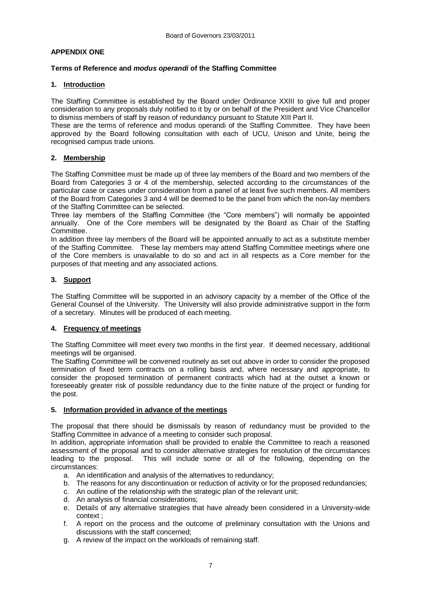# **APPENDIX ONE**

# **Terms of Reference and** *modus operandi* **of the Staffing Committee**

# **1. Introduction**

The Staffing Committee is established by the Board under Ordinance XXIII to give full and proper consideration to any proposals duly notified to it by or on behalf of the President and Vice Chancellor to dismiss members of staff by reason of redundancy pursuant to Statute XIII Part II.

These are the terms of reference and modus operandi of the Staffing Committee. They have been approved by the Board following consultation with each of UCU, Unison and Unite, being the recognised campus trade unions.

# **2. Membership**

The Staffing Committee must be made up of three lay members of the Board and two members of the Board from Categories 3 or 4 of the membership, selected according to the circumstances of the particular case or cases under consideration from a panel of at least five such members. All members of the Board from Categories 3 and 4 will be deemed to be the panel from which the non-lay members of the Staffing Committee can be selected.

Three lay members of the Staffing Committee (the "Core members") will normally be appointed annually. One of the Core members will be designated by the Board as Chair of the Staffing Committee.

In addition three lay members of the Board will be appointed annually to act as a substitute member of the Staffing Committee. These lay members may attend Staffing Committee meetings where one of the Core members is unavailable to do so and act in all respects as a Core member for the purposes of that meeting and any associated actions.

# **3. Support**

The Staffing Committee will be supported in an advisory capacity by a member of the Office of the General Counsel of the University. The University will also provide administrative support in the form of a secretary. Minutes will be produced of each meeting.

# **4. Frequency of meetings**

The Staffing Committee will meet every two months in the first year. If deemed necessary, additional meetings will be organised.

The Staffing Committee will be convened routinely as set out above in order to consider the proposed termination of fixed term contracts on a rolling basis and, where necessary and appropriate, to consider the proposed termination of permanent contracts which had at the outset a known or foreseeably greater risk of possible redundancy due to the finite nature of the project or funding for the post.

# **5. Information provided in advance of the meetings**

The proposal that there should be dismissals by reason of redundancy must be provided to the Staffing Committee in advance of a meeting to consider such proposal.

In addition, appropriate information shall be provided to enable the Committee to reach a reasoned assessment of the proposal and to consider alternative strategies for resolution of the circumstances leading to the proposal. This will include some or all of the following, depending on the circumstances:

- a. An identification and analysis of the alternatives to redundancy;
- b. The reasons for any discontinuation or reduction of activity or for the proposed redundancies;
- c. An outline of the relationship with the strategic plan of the relevant unit;
- d. An analysis of financial considerations;
- e. Details of any alternative strategies that have already been considered in a University-wide context ;
- f. A report on the process and the outcome of preliminary consultation with the Unions and discussions with the staff concerned;
- g. A review of the impact on the workloads of remaining staff.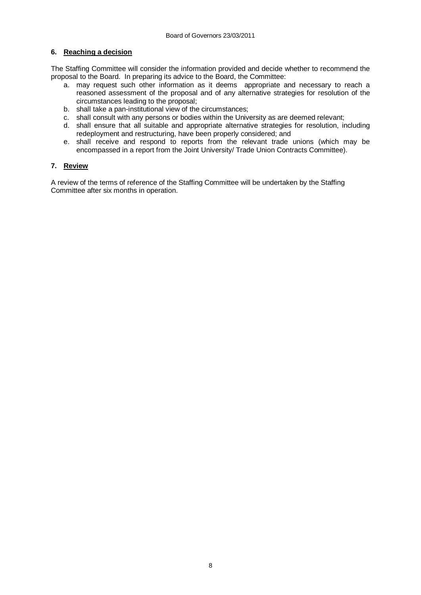# **6. Reaching a decision**

The Staffing Committee will consider the information provided and decide whether to recommend the proposal to the Board. In preparing its advice to the Board, the Committee:

- a. may request such other information as it deems appropriate and necessary to reach a reasoned assessment of the proposal and of any alternative strategies for resolution of the circumstances leading to the proposal;
- b. shall take a pan-institutional view of the circumstances;
- c. shall consult with any persons or bodies within the University as are deemed relevant;
- d. shall ensure that all suitable and appropriate alternative strategies for resolution, including redeployment and restructuring, have been properly considered; and
- e. shall receive and respond to reports from the relevant trade unions (which may be encompassed in a report from the Joint University/ Trade Union Contracts Committee).

# **7. Review**

A review of the terms of reference of the Staffing Committee will be undertaken by the Staffing Committee after six months in operation.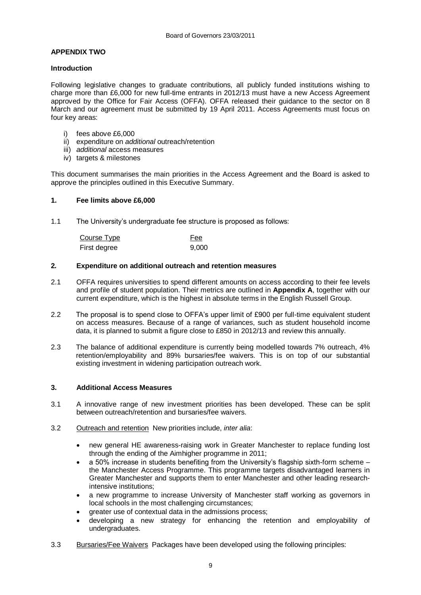# **APPENDIX TWO**

### **Introduction**

Following legislative changes to graduate contributions, all publicly funded institutions wishing to charge more than £6,000 for new full-time entrants in 2012/13 must have a new Access Agreement approved by the Office for Fair Access (OFFA). OFFA released their guidance to the sector on 8 March and our agreement must be submitted by 19 April 2011. Access Agreements must focus on four key areas:

- i) fees above £6,000
- ii) expenditure on *additional* outreach/retention
- iii) *additional* access measures
- iv) targets & milestones

This document summarises the main priorities in the Access Agreement and the Board is asked to approve the principles outlined in this Executive Summary.

### **1. Fee limits above £6,000**

1.1 The University"s undergraduate fee structure is proposed as follows:

| Course Type  | Fee   |
|--------------|-------|
| First degree | 9,000 |

### **2***.* **Expenditure on additional outreach and retention measures**

- 2.1 OFFA requires universities to spend different amounts on access according to their fee levels and profile of student population. Their metrics are outlined in **Appendix A**, together with our current expenditure, which is the highest in absolute terms in the English Russell Group.
- 2.2 The proposal is to spend close to OFFA"s upper limit of £900 per full-time equivalent student on access measures. Because of a range of variances, such as student household income data, it is planned to submit a figure close to £850 in 2012/13 and review this annually.
- 2.3 The balance of additional expenditure is currently being modelled towards 7% outreach, 4% retention/employability and 89% bursaries/fee waivers. This is on top of our substantial existing investment in widening participation outreach work.

### **3. Additional Access Measures**

- 3.1 A innovative range of new investment priorities has been developed. These can be split between outreach/retention and bursaries/fee waivers.
- 3.2 Outreach and retention New priorities include, *inter alia*:
	- new general HE awareness-raising work in Greater Manchester to replace funding lost through the ending of the Aimhigher programme in 2011;
	- a 50% increase in students benefiting from the University"s flagship sixth-form scheme the Manchester Access Programme. This programme targets disadvantaged learners in Greater Manchester and supports them to enter Manchester and other leading researchintensive institutions;
	- a new programme to increase University of Manchester staff working as governors in local schools in the most challenging circumstances;
	- greater use of contextual data in the admissions process;
	- developing a new strategy for enhancing the retention and employability of undergraduates.
- 3.3 Bursaries/Fee Waivers Packages have been developed using the following principles: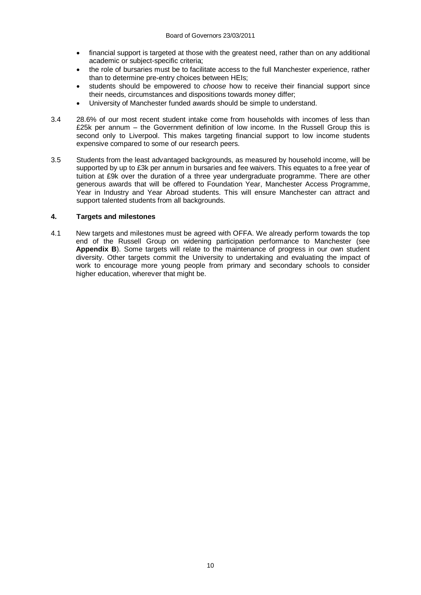- financial support is targeted at those with the greatest need, rather than on any additional academic or subject-specific criteria;
- the role of bursaries must be to facilitate access to the full Manchester experience, rather than to determine pre-entry choices between HEIs;
- students should be empowered to *choose* how to receive their financial support since their needs, circumstances and dispositions towards money differ;
- University of Manchester funded awards should be simple to understand.
- 3.4 28.6% of our most recent student intake come from households with incomes of less than £25k per annum – the Government definition of low income. In the Russell Group this is second only to Liverpool. This makes targeting financial support to low income students expensive compared to some of our research peers.
- 3.5 Students from the least advantaged backgrounds, as measured by household income, will be supported by up to £3k per annum in bursaries and fee waivers. This equates to a free year of tuition at £9k over the duration of a three year undergraduate programme. There are other generous awards that will be offered to Foundation Year, Manchester Access Programme, Year in Industry and Year Abroad students. This will ensure Manchester can attract and support talented students from all backgrounds.

### **4. Targets and milestones**

4.1 New targets and milestones must be agreed with OFFA. We already perform towards the top end of the Russell Group on widening participation performance to Manchester (see **Appendix B**). Some targets will relate to the maintenance of progress in our own student diversity. Other targets commit the University to undertaking and evaluating the impact of work to encourage more young people from primary and secondary schools to consider higher education, wherever that might be.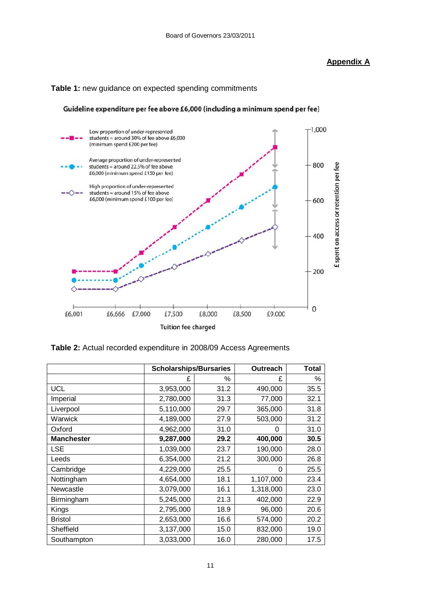# **Appendix A**



# **Table 1:** new guidance on expected spending commitments

Guideline expenditure per fee above £6,000 (including a minimum spend per fee)

**Table 2:** Actual recorded expenditure in 2008/09 Access Agreements

|                   | <b>Scholarships/Bursaries</b> |      | <b>Outreach</b> | <b>Total</b> |
|-------------------|-------------------------------|------|-----------------|--------------|
|                   | £                             | %    | £               | %            |
| <b>UCL</b>        | 3,953,000                     | 31.2 | 490,000         | 35.5         |
| Imperial          | 2,780,000                     | 31.3 | 77,000          | 32.1         |
| Liverpool         | 5,110,000                     | 29.7 | 365,000         | 31.8         |
| Warwick           | 4,189,000<br>27.9             |      | 503,000         | 31.2         |
| Oxford            | 4,962,000<br>31.0             |      | 0               | 31.0         |
| <b>Manchester</b> | 9,287,000                     | 29.2 | 400,000         | 30.5         |
| <b>LSE</b>        | 1,039,000                     | 23.7 | 190,000         | 28.0         |
| Leeds             | 6,354,000                     | 21.2 | 300,000         | 26.8         |
| Cambridge         | 25.5<br>4,229,000             |      | 0               | 25.5         |
| Nottingham        | 4,654,000                     | 18.1 | 1,107,000       | 23.4         |
| Newcastle         | 3,079,000                     | 16.1 | 1,318,000       | 23.0         |
| Birmingham        | 5,245,000                     | 21.3 | 402,000         | 22.9         |
| Kings             | 2,795,000                     | 18.9 | 96,000          | 20.6         |
| <b>Bristol</b>    | 2,653,000                     | 16.6 | 574,000         | 20.2         |
| Sheffield         | 3,137,000                     | 15.0 | 832,000         | 19.0         |
| Southampton       | 3,033,000                     | 16.0 | 280,000         | 17.5         |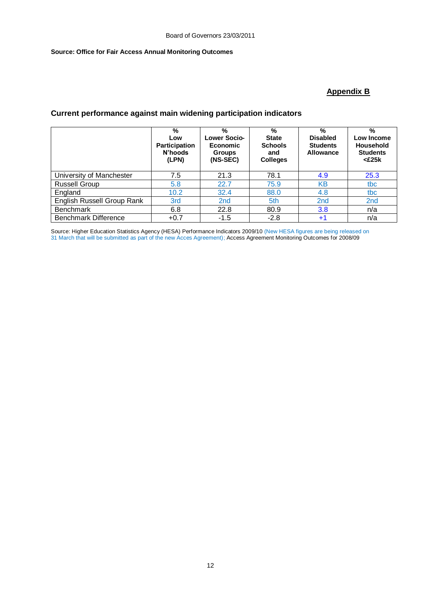### **Source: Office for Fair Access Annual Monitoring Outcomes**

# **Appendix B**

# **Current performance against main widening participation indicators**

|                             | %<br>Low<br><b>Participation</b><br>N'hoods<br>(LPN) | %<br><b>Lower Socio-</b><br><b>Economic</b><br><b>Groups</b><br>(NS-SEC) | %<br><b>State</b><br><b>Schools</b><br>and<br><b>Colleges</b> | %<br><b>Disabled</b><br><b>Students</b><br>Allowance | %<br>Low Income<br>Household<br><b>Students</b><br>$<$ £25 $k$ |
|-----------------------------|------------------------------------------------------|--------------------------------------------------------------------------|---------------------------------------------------------------|------------------------------------------------------|----------------------------------------------------------------|
| University of Manchester    | 7.5                                                  | 21.3                                                                     | 78.1                                                          | 4.9                                                  | 25.3                                                           |
| <b>Russell Group</b>        | 5.8                                                  | 22.7                                                                     | 75.9                                                          | KΒ                                                   | tbc                                                            |
| England                     | 10.2                                                 | 32.4                                                                     | 88.0                                                          | 4.8                                                  | tbc                                                            |
| English Russell Group Rank  | 3rd                                                  | 2 <sub>nd</sub>                                                          | 5th                                                           | 2 <sub>nd</sub>                                      | 2 <sub>nd</sub>                                                |
| <b>Benchmark</b>            | 6.8                                                  | 22.8                                                                     | 80.9                                                          | 3.8                                                  | n/a                                                            |
| <b>Benchmark Difference</b> | $+0.7$                                               | $-1.5$                                                                   | $-2.8$                                                        | $+^{\prime}$                                         | n/a                                                            |

Source: Higher Education Statistics Agency (HESA) Performance Indicators 2009/10 (New HESA figures are being released on 31 March that will be submitted as part of the new Acces Agreement); Access Agreement Monitoring Outcomes for 2008/09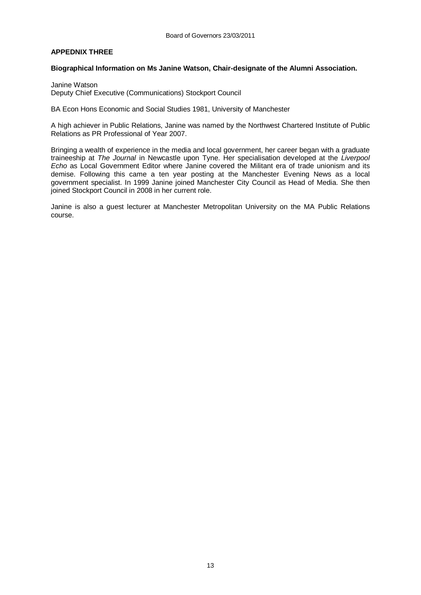### **APPEDNIX THREE**

#### **Biographical Information on Ms Janine Watson, Chair-designate of the Alumni Association.**

Janine Watson Deputy Chief Executive (Communications) Stockport Council

BA Econ Hons Economic and Social Studies 1981, University of Manchester

A high achiever in Public Relations, Janine was named by the Northwest Chartered Institute of Public Relations as PR Professional of Year 2007.

Bringing a wealth of experience in the media and local government, her career began with a graduate traineeship at *The Journal* in Newcastle upon Tyne. Her specialisation developed at the *Liverpool Echo* as Local Government Editor where Janine covered the Militant era of trade unionism and its demise. Following this came a ten year posting at the Manchester Evening News as a local government specialist. In 1999 Janine joined Manchester City Council as Head of Media. She then joined Stockport Council in 2008 in her current role.

Janine is also a guest lecturer at Manchester Metropolitan University on the MA Public Relations course.